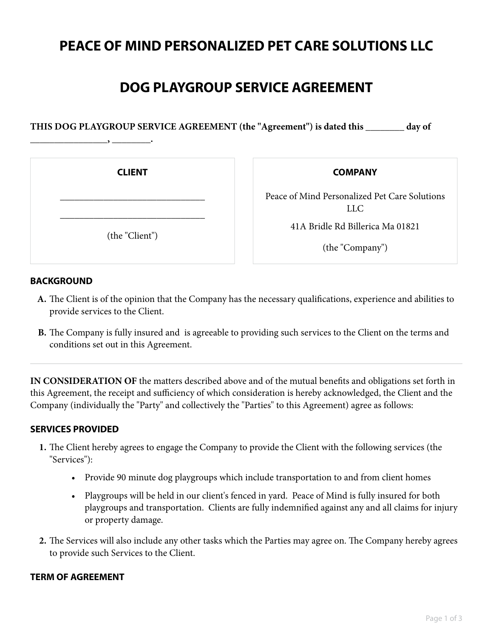# **PEACE OF MIND PERSONALIZED PET CARE SOLUTIONS LLC**

# **DOG PLAYGROUP SERVICE AGREEMENT**

**THIS DOG PLAYGROUP SERVICE AGREEMENT (the "Agreement") is dated this \_\_\_\_\_\_\_\_ day of**

**CLIENT**

\_\_\_\_\_\_\_\_\_\_\_\_\_\_\_\_\_\_\_\_\_\_\_\_\_\_\_\_\_\_

\_\_\_\_\_\_\_\_\_\_\_\_\_\_\_\_\_\_\_\_\_\_\_\_\_\_\_\_\_\_

(the "Client")

**\_\_\_\_\_\_\_\_\_\_\_\_\_\_\_\_, \_\_\_\_\_\_\_\_.**

**COMPANY**

Peace of Mind Personalized Pet Care Solutions LLC

41A Bridle Rd Billerica Ma 01821

(the "Company")

### **BACKGROUND**

- The Client is of the opinion that the Company has the necessary qualifications, experience and abilities to **A.** provide services to the Client.
- The Company is fully insured and is agreeable to providing such services to the Client on the terms and **B.** conditions set out in this Agreement.

**IN CONSIDERATION OF** the matters described above and of the mutual benefits and obligations set forth in this Agreement, the receipt and sufficiency of which consideration is hereby acknowledged, the Client and the Company (individually the "Party" and collectively the "Parties" to this Agreement) agree as follows:

## **SERVICES PROVIDED**

- The Client hereby agrees to engage the Company to provide the Client with the following services (the **1.** "Services"):
	- Provide 90 minute dog playgroups which include transportation to and from client homes
	- Playgroups will be held in our client's fenced in yard. Peace of Mind is fully insured for both playgroups and transportation. Clients are fully indemnified against any and all claims for injury or property damage.
- The Services will also include any other tasks which the Parties may agree on. The Company hereby agrees **2.** to provide such Services to the Client.

### **TERM OF AGREEMENT**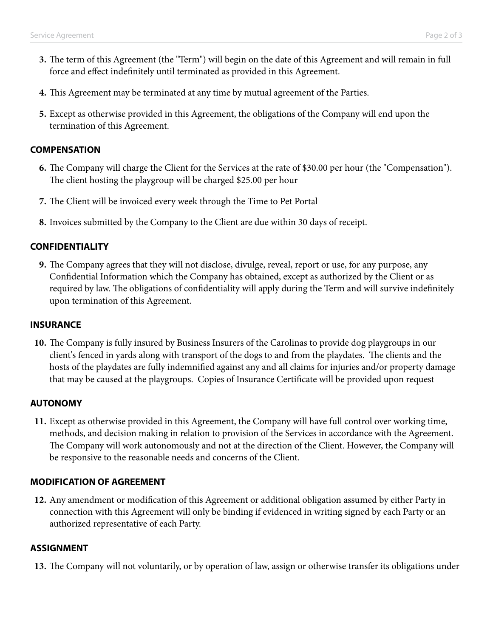- The term of this Agreement (the "Term") will begin on the date of this Agreement and will remain in full **3.** force and effect indefinitely until terminated as provided in this Agreement.
- **4.** This Agreement may be terminated at any time by mutual agreement of the Parties.
- Except as otherwise provided in this Agreement, the obligations of the Company will end upon the **5.** termination of this Agreement.

#### **COMPENSATION**

- The Company will charge the Client for the Services at the rate of \$30.00 per hour (the "Compensation"). **6.** The client hosting the playgroup will be charged \$25.00 per hour
- **7.** The Client will be invoiced every week through the Time to Pet Portal
- **8.** Invoices submitted by the Company to the Client are due within 30 days of receipt.

#### **CONFIDENTIALITY**

The Company agrees that they will not disclose, divulge, reveal, report or use, for any purpose, any **9.** Confidential Information which the Company has obtained, except as authorized by the Client or as required by law. The obligations of confidentiality will apply during the Term and will survive indefinitely upon termination of this Agreement.

#### **INSURANCE**

The Company is fully insured by Business Insurers of the Carolinas to provide dog playgroups in our **10.** client's fenced in yards along with transport of the dogs to and from the playdates. The clients and the hosts of the playdates are fully indemnified against any and all claims for injuries and/or property damage that may be caused at the playgroups. Copies of Insurance Certificate will be provided upon request

#### **AUTONOMY**

Except as otherwise provided in this Agreement, the Company will have full control over working time, **11.** methods, and decision making in relation to provision of the Services in accordance with the Agreement. The Company will work autonomously and not at the direction of the Client. However, the Company will be responsive to the reasonable needs and concerns of the Client.

#### **MODIFICATION OF AGREEMENT**

Any amendment or modification of this Agreement or additional obligation assumed by either Party in **12.** connection with this Agreement will only be binding if evidenced in writing signed by each Party or an authorized representative of each Party.

#### **ASSIGNMENT**

**13.** The Company will not voluntarily, or by operation of law, assign or otherwise transfer its obligations under